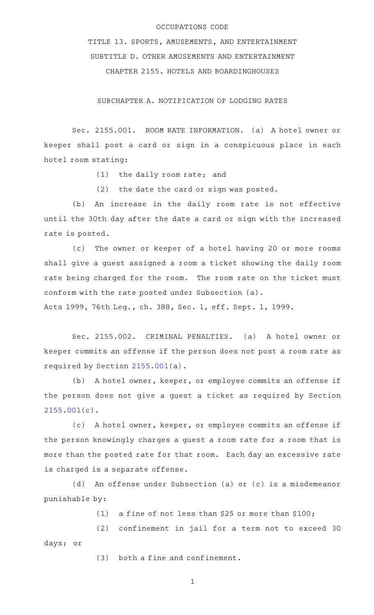## OCCUPATIONS CODE

TITLE 13. SPORTS, AMUSEMENTS, AND ENTERTAINMENT SUBTITLE D. OTHER AMUSEMENTS AND ENTERTAINMENT CHAPTER 2155. HOTELS AND BOARDINGHOUSES

SUBCHAPTER A. NOTIFICATION OF LODGING RATES

Sec. 2155.001. ROOM RATE INFORMATION. (a) A hotel owner or keeper shall post a card or sign in a conspicuous place in each hotel room stating:

 $(1)$  the daily room rate; and

(2) the date the card or sign was posted.

(b) An increase in the daily room rate is not effective until the 30th day after the date a card or sign with the increased rate is posted.

(c) The owner or keeper of a hotel having 20 or more rooms shall give a guest assigned a room a ticket showing the daily room rate being charged for the room. The room rate on the ticket must conform with the rate posted under Subsection (a).

Acts 1999, 76th Leg., ch. 388, Sec. 1, eff. Sept. 1, 1999.

Sec. 2155.002. CRIMINAL PENALTIES. (a) A hotel owner or keeper commits an offense if the person does not post a room rate as required by Section [2155.001\(](http://www.statutes.legis.state.tx.us/GetStatute.aspx?Code=OC&Value=2155.001)a).

(b) A hotel owner, keeper, or employee commits an offense if the person does not give a guest a ticket as required by Section [2155.001](http://www.statutes.legis.state.tx.us/GetStatute.aspx?Code=OC&Value=2155.001)(c).

(c) A hotel owner, keeper, or employee commits an offense if the person knowingly charges a guest a room rate for a room that is more than the posted rate for that room. Each day an excessive rate is charged is a separate offense.

(d) An offense under Subsection (a) or (c) is a misdemeanor punishable by:

(1) a fine of not less than \$25 or more than  $$100;$ 

(2) confinement in jail for a term not to exceed 30 days; or

 $(3)$  both a fine and confinement.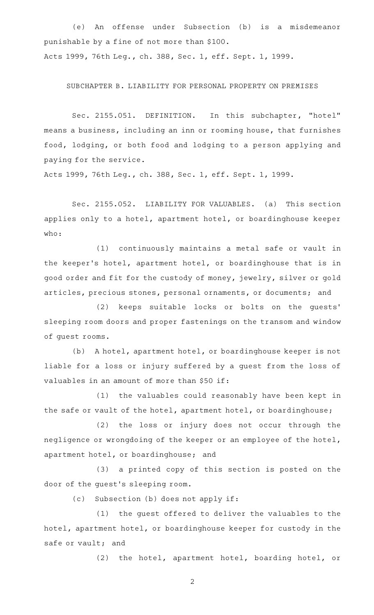(e) An offense under Subsection (b) is a misdemeanor punishable by a fine of not more than \$100. Acts 1999, 76th Leg., ch. 388, Sec. 1, eff. Sept. 1, 1999.

SUBCHAPTER B. LIABILITY FOR PERSONAL PROPERTY ON PREMISES

Sec. 2155.051. DEFINITION. In this subchapter, "hotel" means a business, including an inn or rooming house, that furnishes food, lodging, or both food and lodging to a person applying and paying for the service.

Acts 1999, 76th Leg., ch. 388, Sec. 1, eff. Sept. 1, 1999.

Sec. 2155.052. LIABILITY FOR VALUABLES. (a) This section applies only to a hotel, apartment hotel, or boardinghouse keeper who:

(1) continuously maintains a metal safe or vault in the keeper 's hotel, apartment hotel, or boardinghouse that is in good order and fit for the custody of money, jewelry, silver or gold articles, precious stones, personal ornaments, or documents; and

(2) keeps suitable locks or bolts on the guests' sleeping room doors and proper fastenings on the transom and window of guest rooms.

(b) A hotel, apartment hotel, or boardinghouse keeper is not liable for a loss or injury suffered by a guest from the loss of valuables in an amount of more than \$50 if:

(1) the valuables could reasonably have been kept in the safe or vault of the hotel, apartment hotel, or boardinghouse;

(2) the loss or injury does not occur through the negligence or wrongdoing of the keeper or an employee of the hotel, apartment hotel, or boardinghouse; and

(3) a printed copy of this section is posted on the door of the guest 's sleeping room.

(c) Subsection (b) does not apply if:

(1) the guest offered to deliver the valuables to the hotel, apartment hotel, or boardinghouse keeper for custody in the safe or vault; and

(2) the hotel, apartment hotel, boarding hotel, or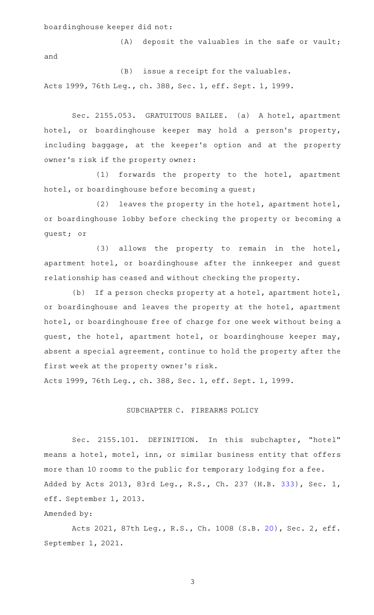boardinghouse keeper did not:

 $(A)$  deposit the valuables in the safe or vault; and

 $(B)$  issue a receipt for the valuables. Acts 1999, 76th Leg., ch. 388, Sec. 1, eff. Sept. 1, 1999.

Sec. 2155.053. GRATUITOUS BAILEE. (a) A hotel, apartment hotel, or boardinghouse keeper may hold a person's property, including baggage, at the keeper 's option and at the property owner 's risk if the property owner:

(1) forwards the property to the hotel, apartment hotel, or boardinghouse before becoming a guest;

(2) leaves the property in the hotel, apartment hotel, or boardinghouse lobby before checking the property or becoming a guest; or

 $(3)$  allows the property to remain in the hotel, apartment hotel, or boardinghouse after the innkeeper and guest relationship has ceased and without checking the property.

(b) If a person checks property at a hotel, apartment hotel, or boardinghouse and leaves the property at the hotel, apartment hotel, or boardinghouse free of charge for one week without being a guest, the hotel, apartment hotel, or boardinghouse keeper may, absent a special agreement, continue to hold the property after the first week at the property owner 's risk.

Acts 1999, 76th Leg., ch. 388, Sec. 1, eff. Sept. 1, 1999.

## SUBCHAPTER C. FIREARMS POLICY

Sec. 2155.101. DEFINITION. In this subchapter, "hotel" means a hotel, motel, inn, or similar business entity that offers more than 10 rooms to the public for temporary lodging for a fee. Added by Acts 2013, 83rd Leg., R.S., Ch. 237 (H.B. [333](http://www.legis.state.tx.us/tlodocs/83R/billtext/html/HB00333F.HTM)), Sec. 1, eff. September 1, 2013.

Amended by:

Acts 2021, 87th Leg., R.S., Ch. 1008 (S.B. [20](http://www.legis.state.tx.us/tlodocs/87R/billtext/html/SB00020F.HTM)), Sec. 2, eff. September 1, 2021.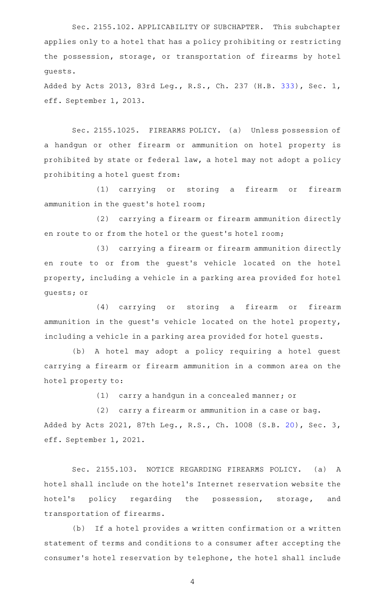Sec. 2155.102. APPLICABILITY OF SUBCHAPTER. This subchapter applies only to a hotel that has a policy prohibiting or restricting the possession, storage, or transportation of firearms by hotel guests.

Added by Acts 2013, 83rd Leg., R.S., Ch. 237 (H.B. [333](http://www.legis.state.tx.us/tlodocs/83R/billtext/html/HB00333F.HTM)), Sec. 1, eff. September 1, 2013.

Sec. 2155.1025. FIREARMS POLICY. (a) Unless possession of a handgun or other firearm or ammunition on hotel property is prohibited by state or federal law, a hotel may not adopt a policy prohibiting a hotel guest from:

(1) carrying or storing a firearm or firearm ammunition in the guest 's hotel room;

(2) carrying a firearm or firearm ammunition directly en route to or from the hotel or the guest 's hotel room;

(3) carrying a firearm or firearm ammunition directly en route to or from the guest 's vehicle located on the hotel property, including a vehicle in a parking area provided for hotel guests; or

(4) carrying or storing a firearm or firearm ammunition in the guest's vehicle located on the hotel property, including a vehicle in a parking area provided for hotel guests.

(b)AAA hotel may adopt a policy requiring a hotel guest carrying a firearm or firearm ammunition in a common area on the hotel property to:

 $(1)$  carry a handgun in a concealed manner; or

 $(2)$  carry a firearm or ammunition in a case or bag. Added by Acts 2021, 87th Leg., R.S., Ch. 1008 (S.B. [20](http://www.legis.state.tx.us/tlodocs/87R/billtext/html/SB00020F.HTM)), Sec. 3, eff. September 1, 2021.

Sec. 2155.103. NOTICE REGARDING FIREARMS POLICY. (a) A hotel shall include on the hotel 's Internet reservation website the hotel's policy regarding the possession, storage, and transportation of firearms.

(b) If a hotel provides a written confirmation or a written statement of terms and conditions to a consumer after accepting the consumer 's hotel reservation by telephone, the hotel shall include